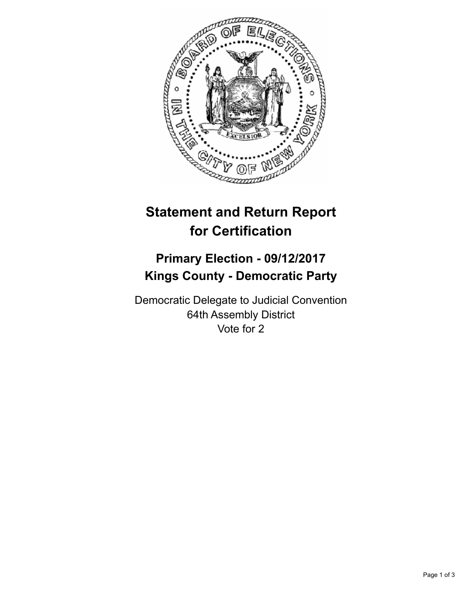

## **Statement and Return Report for Certification**

## **Primary Election - 09/12/2017 Kings County - Democratic Party**

Democratic Delegate to Judicial Convention 64th Assembly District Vote for 2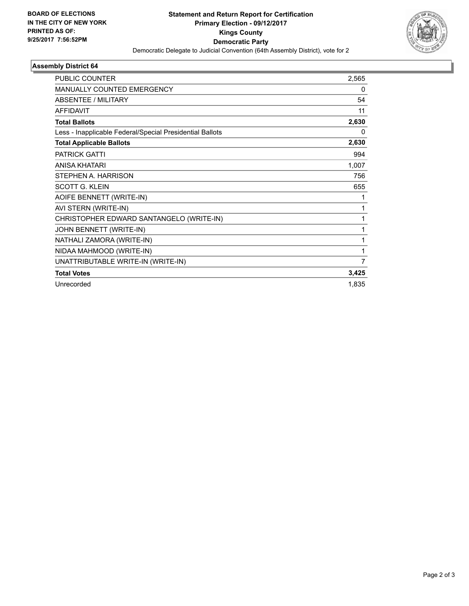

## **Assembly District 64**

| PUBLIC COUNTER                                           | 2,565    |
|----------------------------------------------------------|----------|
| <b>MANUALLY COUNTED EMERGENCY</b>                        | 0        |
| <b>ABSENTEE / MILITARY</b>                               | 54       |
| <b>AFFIDAVIT</b>                                         | 11       |
| <b>Total Ballots</b>                                     | 2,630    |
| Less - Inapplicable Federal/Special Presidential Ballots | $\Omega$ |
| <b>Total Applicable Ballots</b>                          | 2,630    |
| <b>PATRICK GATTI</b>                                     | 994      |
| <b>ANISA KHATARI</b>                                     | 1,007    |
| STEPHEN A. HARRISON                                      | 756      |
| <b>SCOTT G. KLEIN</b>                                    | 655      |
| AOIFE BENNETT (WRITE-IN)                                 | 1        |
| AVI STERN (WRITE-IN)                                     | 1        |
| CHRISTOPHER EDWARD SANTANGELO (WRITE-IN)                 | 1        |
| JOHN BENNETT (WRITE-IN)                                  | 1        |
| NATHALI ZAMORA (WRITE-IN)                                | 1        |
| NIDAA MAHMOOD (WRITE-IN)                                 | 1        |
| UNATTRIBUTABLE WRITE-IN (WRITE-IN)                       | 7        |
| <b>Total Votes</b>                                       | 3,425    |
| Unrecorded                                               | 1,835    |